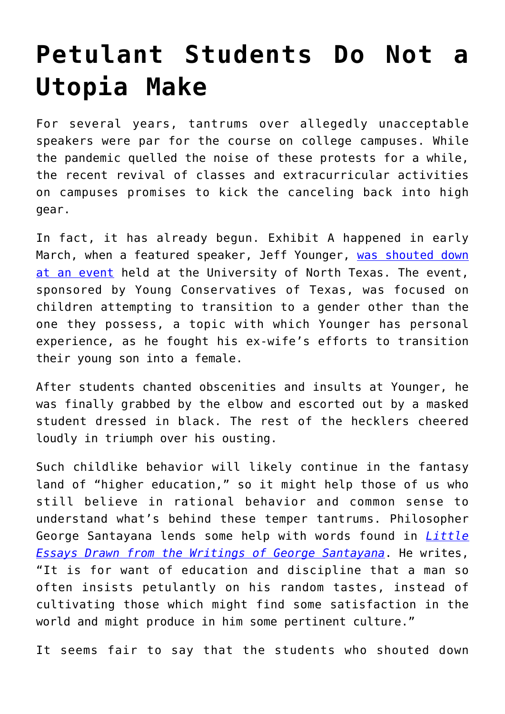## **[Petulant Students Do Not a](https://intellectualtakeout.org/2022/03/petulant-students-do-not-a-utopia-make/) [Utopia Make](https://intellectualtakeout.org/2022/03/petulant-students-do-not-a-utopia-make/)**

For several years, tantrums over allegedly unacceptable speakers were par for the course on college campuses. While the pandemic quelled the noise of these protests for a while, the recent revival of classes and extracurricular activities on campuses promises to kick the canceling back into high gear.

In fact, it has already begun. Exhibit A happened in early March, when a featured speaker, Jeff Younger, [was shouted down](https://www.thecollegefix.com/watch-aggressive-activists-shut-down-campus-event-critical-of-child-gender-transitions/) [at an event](https://www.thecollegefix.com/watch-aggressive-activists-shut-down-campus-event-critical-of-child-gender-transitions/) held at the University of North Texas. The event, sponsored by Young Conservatives of Texas, was focused on children attempting to transition to a gender other than the one they possess, a topic with which Younger has personal experience, as he fought his ex-wife's efforts to transition their young son into a female.

After students chanted obscenities and insults at Younger, he was finally grabbed by the elbow and escorted out by a masked student dressed in black. The rest of the hecklers cheered loudly in triumph over his ousting.

Such childlike behavior will likely continue in the fantasy land of "higher education," so it might help those of us who still believe in rational behavior and common sense to understand what's behind these temper tantrums. Philosopher George Santayana lends some help with words found in *[Little](https://books.google.com/books/about/Little_Essays_Drawn_from_the_Writings_of.html?id=3LI8AAAAYAAJ&printsec=frontcover&source=kp_read_button&hl=en&newbks=1&newbks_redir=0#v=snippet&q=random%20tastes&f=false) [Essays Drawn from the Writings of George Santayana](https://books.google.com/books/about/Little_Essays_Drawn_from_the_Writings_of.html?id=3LI8AAAAYAAJ&printsec=frontcover&source=kp_read_button&hl=en&newbks=1&newbks_redir=0#v=snippet&q=random%20tastes&f=false)*. He writes, "It is for want of education and discipline that a man so often insists petulantly on his random tastes, instead of cultivating those which might find some satisfaction in the world and might produce in him some pertinent culture."

It seems fair to say that the students who shouted down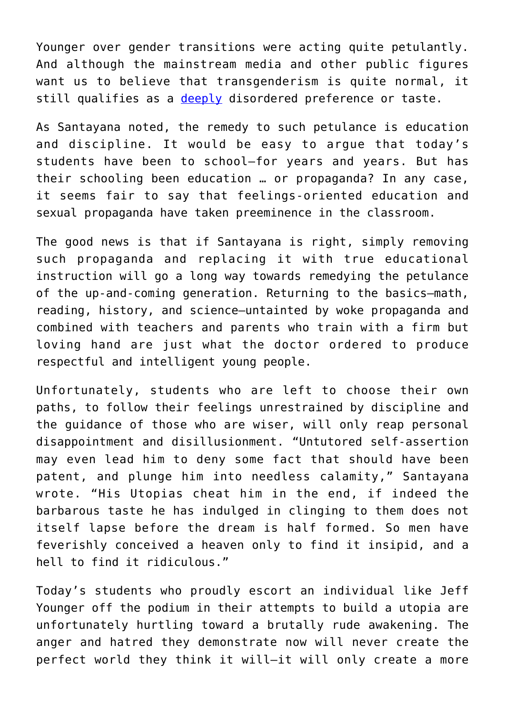Younger over gender transitions were acting quite petulantly. And although the mainstream media and other public figures want us to believe that transgenderism is quite normal, it still qualifies as a [deeply](https://theconversation.com/whats-behind-the-rising-profile-of-transgender-kids-3-essential-reads-161962) disordered preference or taste.

As Santayana noted, the remedy to such petulance is education and discipline. It would be easy to argue that today's students have been to school—for years and years. But has their schooling been education … or propaganda? In any case, it seems fair to say that feelings-oriented education and sexual propaganda have taken preeminence in the classroom.

The good news is that if Santayana is right, simply removing such propaganda and replacing it with true educational instruction will go a long way towards remedying the petulance of the up-and-coming generation. Returning to the basics—math, reading, history, and science—untainted by woke propaganda and combined with teachers and parents who train with a firm but loving hand are just what the doctor ordered to produce respectful and intelligent young people.

Unfortunately, students who are left to choose their own paths, to follow their feelings unrestrained by discipline and the guidance of those who are wiser, will only reap personal disappointment and disillusionment. "Untutored self-assertion may even lead him to deny some fact that should have been patent, and plunge him into needless calamity," Santayana wrote. "His Utopias cheat him in the end, if indeed the barbarous taste he has indulged in clinging to them does not itself lapse before the dream is half formed. So men have feverishly conceived a heaven only to find it insipid, and a hell to find it ridiculous."

Today's students who proudly escort an individual like Jeff Younger off the podium in their attempts to build a utopia are unfortunately hurtling toward a brutally rude awakening. The anger and hatred they demonstrate now will never create the perfect world they think it will—it will only create a more